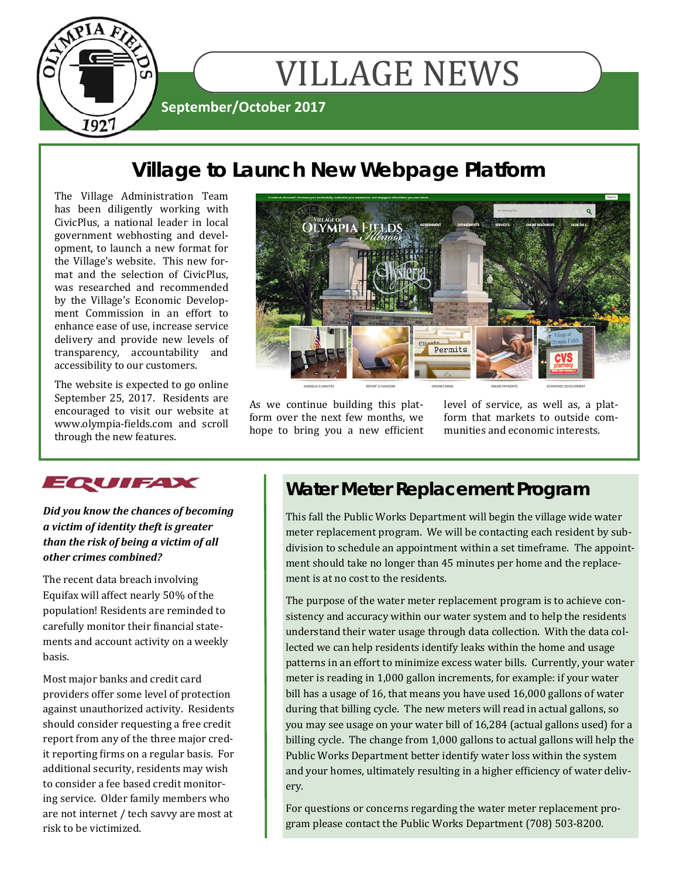

# **Village to Launch New Webpage Platform**

The Village Administration Team has been diligently working with CivicPlus, a national leader in local government webhosting and development, to launch a new format for the Village's website. This new format and the selection of CivicPlus, was researched and recommended by the Village's Economic Development Commission in an effort to enhance ease of use, increase service delivery and provide new levels of transparency, accountability and accessibility to our customers.

The website is expected to go online September 25, 2017. Residents are encouraged to visit our website at www.olympia-fields.com and scroll through the new features.



As we continue building this platform over the next few months, we hope to bring you a new efficient level of service, as well as, a platform that markets to outside communities and economic interests.



*Did you know the chances of becoming a victim of identity theft is greater than the risk of being a victim of all other crimes combined?* 

The recent data breach involving Equifax will affect nearly 50% of the population! Residents are reminded to carefully monitor their financial statements and account activity on a weekly basis. 

Most major banks and credit card providers offer some level of protection against unauthorized activity. Residents should consider requesting a free credit report from any of the three major credit reporting firms on a regular basis. For additional security, residents may wish to consider a fee based credit monitoring service. Older family members who are not internet / tech savvy are most at risk to be victimized.

# **Water Meter Replacement Program**

This fall the Public Works Department will begin the village wide water meter replacement program. We will be contacting each resident by subdivision to schedule an appointment within a set timeframe. The appointment should take no longer than 45 minutes per home and the replacement is at no cost to the residents.

The purpose of the water meter replacement program is to achieve consistency and accuracy within our water system and to help the residents understand their water usage through data collection. With the data collected we can help residents identify leaks within the home and usage patterns in an effort to minimize excess water bills. Currently, your water meter is reading in 1,000 gallon increments, for example: if your water bill has a usage of 16, that means you have used 16,000 gallons of water during that billing cycle. The new meters will read in actual gallons, so you may see usage on your water bill of 16,284 (actual gallons used) for a billing cycle. The change from 1,000 gallons to actual gallons will help the Public Works Department better identify water loss within the system and your homes, ultimately resulting in a higher efficiency of water delivery. 

For questions or concerns regarding the water meter replacement program please contact the Public Works Department (708) 503-8200.